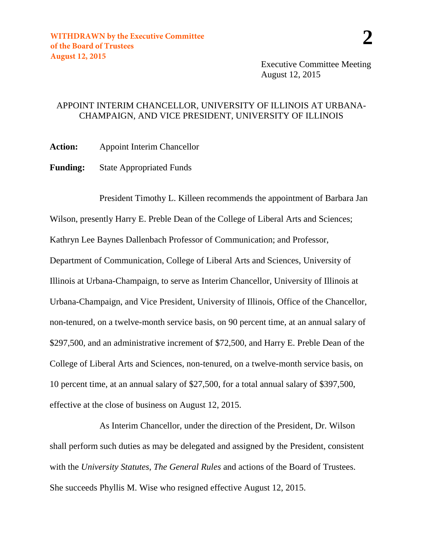Executive Committee Meeting August 12, 2015

## APPOINT INTERIM CHANCELLOR, UNIVERSITY OF ILLINOIS AT URBANA-CHAMPAIGN, AND VICE PRESIDENT, UNIVERSITY OF ILLINOIS

**Action:** Appoint Interim Chancellor

**Funding:** State Appropriated Funds

President Timothy L. Killeen recommends the appointment of Barbara Jan Wilson, presently Harry E. Preble Dean of the College of Liberal Arts and Sciences; Kathryn Lee Baynes Dallenbach Professor of Communication; and Professor, Department of Communication, College of Liberal Arts and Sciences, University of Illinois at Urbana-Champaign, to serve as Interim Chancellor, University of Illinois at Urbana-Champaign, and Vice President, University of Illinois, Office of the Chancellor, non-tenured, on a twelve-month service basis, on 90 percent time, at an annual salary of \$297,500, and an administrative increment of \$72,500, and Harry E. Preble Dean of the College of Liberal Arts and Sciences, non-tenured, on a twelve-month service basis, on 10 percent time, at an annual salary of \$27,500, for a total annual salary of \$397,500, effective at the close of business on August 12, 2015.

As Interim Chancellor, under the direction of the President, Dr. Wilson shall perform such duties as may be delegated and assigned by the President, consistent with the *University Statutes*, *The General Rules* and actions of the Board of Trustees. She succeeds Phyllis M. Wise who resigned effective August 12, 2015.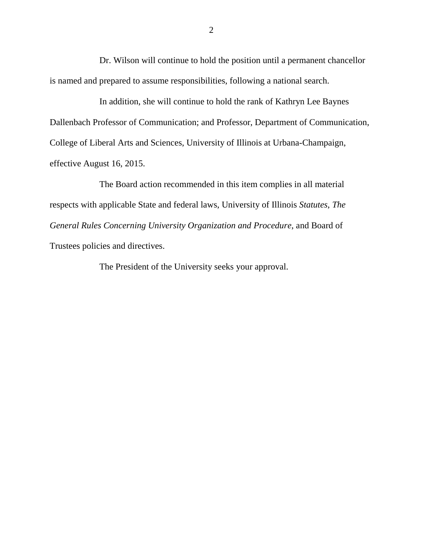Dr. Wilson will continue to hold the position until a permanent chancellor is named and prepared to assume responsibilities, following a national search.

In addition, she will continue to hold the rank of Kathryn Lee Baynes Dallenbach Professor of Communication; and Professor, Department of Communication, College of Liberal Arts and Sciences, University of Illinois at Urbana-Champaign, effective August 16, 2015.

The Board action recommended in this item complies in all material respects with applicable State and federal laws, University of Illinois *Statutes*, *The General Rules Concerning University Organization and Procedure*, and Board of Trustees policies and directives.

The President of the University seeks your approval.